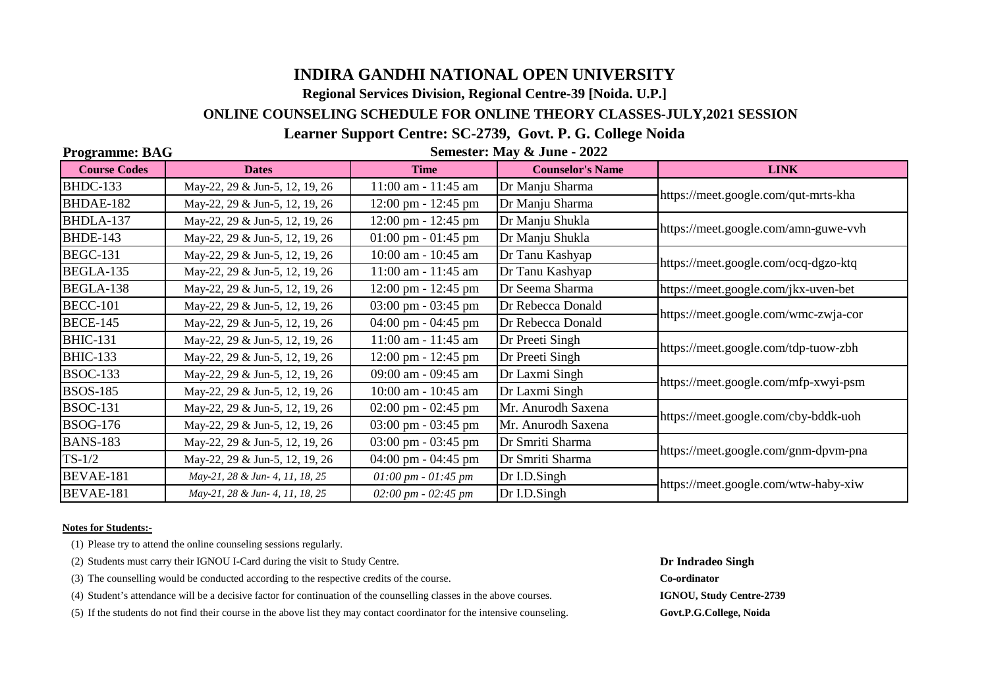# **INDIRA GANDHI NATIONAL OPEN UNIVERSITY**

**Regional Services Division, Regional Centre-39 [Noida. U.P.]**

# **ONLINE COUNSELING SCHEDULE FOR ONLINE THEORY CLASSES-JULY,2021 SESSION**

# **Learner Support Centre: SC-2739, Govt. P. G. College Noida**

#### **Programme: BAG**

 **Semester: May & June - 2022**

| <b>Course Codes</b> | <b>Dates</b>                    | <b>Time</b>                              | <b>Counselor's Name</b> | <b>LINK</b>                          |
|---------------------|---------------------------------|------------------------------------------|-------------------------|--------------------------------------|
| <b>BHDC-133</b>     | May-22, 29 & Jun-5, 12, 19, 26  | 11:00 am - 11:45 am                      | Dr Manju Sharma         | https://meet.google.com/qut-mrts-kha |
| BHDAE-182           | May-22, 29 & Jun-5, 12, 19, 26  | 12:00 pm - 12:45 pm                      | Dr Manju Sharma         |                                      |
| BHDLA-137           | May-22, 29 & Jun-5, 12, 19, 26  | $12:00 \text{ pm} - 12:45 \text{ pm}$    | Dr Manju Shukla         | https://meet.google.com/amn-guwe-vvh |
| <b>BHDE-143</b>     | May-22, 29 & Jun-5, 12, 19, 26  | $01:00 \text{ pm} - 01:45 \text{ pm}$    | Dr Manju Shukla         |                                      |
| <b>BEGC-131</b>     | May-22, 29 & Jun-5, 12, 19, 26  | 10:00 am - 10:45 am                      | Dr Tanu Kashyap         | https://meet.google.com/ocq-dgzo-ktq |
| BEGLA-135           | May-22, 29 & Jun-5, 12, 19, 26  | 11:00 am - 11:45 am                      | Dr Tanu Kashyap         |                                      |
| BEGLA-138           | May-22, 29 & Jun-5, 12, 19, 26  | $12:00 \text{ pm} - 12:45 \text{ pm}$    | Dr Seema Sharma         | https://meet.google.com/jkx-uven-bet |
| <b>BECC-101</b>     | May-22, 29 & Jun-5, 12, 19, 26  | $03:00 \text{ pm} - 03:45 \text{ pm}$    | Dr Rebecca Donald       | https://meet.google.com/wmc-zwja-cor |
| <b>BECE-145</b>     | May-22, 29 & Jun-5, 12, 19, 26  | 04:00 pm - 04:45 pm                      | Dr Rebecca Donald       |                                      |
| <b>BHIC-131</b>     | May-22, 29 & Jun-5, 12, 19, 26  | 11:00 am - 11:45 am                      | Dr Preeti Singh         | https://meet.google.com/tdp-tuow-zbh |
| <b>BHIC-133</b>     | May-22, 29 & Jun-5, 12, 19, 26  | $12:00 \text{ pm} - 12:45 \text{ pm}$    | Dr Preeti Singh         |                                      |
| <b>BSOC-133</b>     | May-22, 29 & Jun-5, 12, 19, 26  | 09:00 am - 09:45 am                      | Dr Laxmi Singh          | https://meet.google.com/mfp-xwyi-psm |
| <b>BSOS-185</b>     | May-22, 29 & Jun-5, 12, 19, 26  | 10:00 am - 10:45 am                      | Dr Laxmi Singh          |                                      |
| <b>BSOC-131</b>     | May-22, 29 & Jun-5, 12, 19, 26  | $02:00 \text{ pm} - 02:45 \text{ pm}$    | Mr. Anurodh Saxena      | https://meet.google.com/cby-bddk-uoh |
| <b>BSOG-176</b>     | May-22, 29 & Jun-5, 12, 19, 26  | $03:00 \text{ pm} - 03:45 \text{ pm}$    | Mr. Anurodh Saxena      |                                      |
| <b>BANS-183</b>     | May-22, 29 & Jun-5, 12, 19, 26  | 03:00 pm - 03:45 pm                      | Dr Smriti Sharma        | https://meet.google.com/gnm-dpvm-pna |
| $TS-1/2$            | May-22, 29 & Jun-5, 12, 19, 26  | $04:00 \text{ pm} - 04:45 \text{ pm}$    | Dr Smriti Sharma        |                                      |
| BEVAE-181           | May-21, 28 & Jun- 4, 11, 18, 25 | $01:00 \, pm - 01:45 \, pm$              | Dr I.D.Singh            | https://meet.google.com/wtw-haby-xiw |
| BEVAE-181           | May-21, 28 & Jun- 4, 11, 18, 25 | $02:00 \, \text{pm}$ - 02:45 $\text{pm}$ | Dr I.D.Singh            |                                      |

#### **Notes for Students:-**

(1) Please try to attend the online counseling sessions regularly.

(2) Students must carry their IGNOU I-Card during the visit to Study Centre. **Dr Indradeo Singh**

(3) The counselling would be conducted according to the respective credits of the course. **Co-ordinator**

(4) Student's attendance will be a decisive factor for continuation of the counselling classes in the above courses. **IGNOU, Study Centre-2739**

(5) If the students do not find their course in the above list they may contact coordinator for the intensive counseling. **Govt.P.G.College, Noida**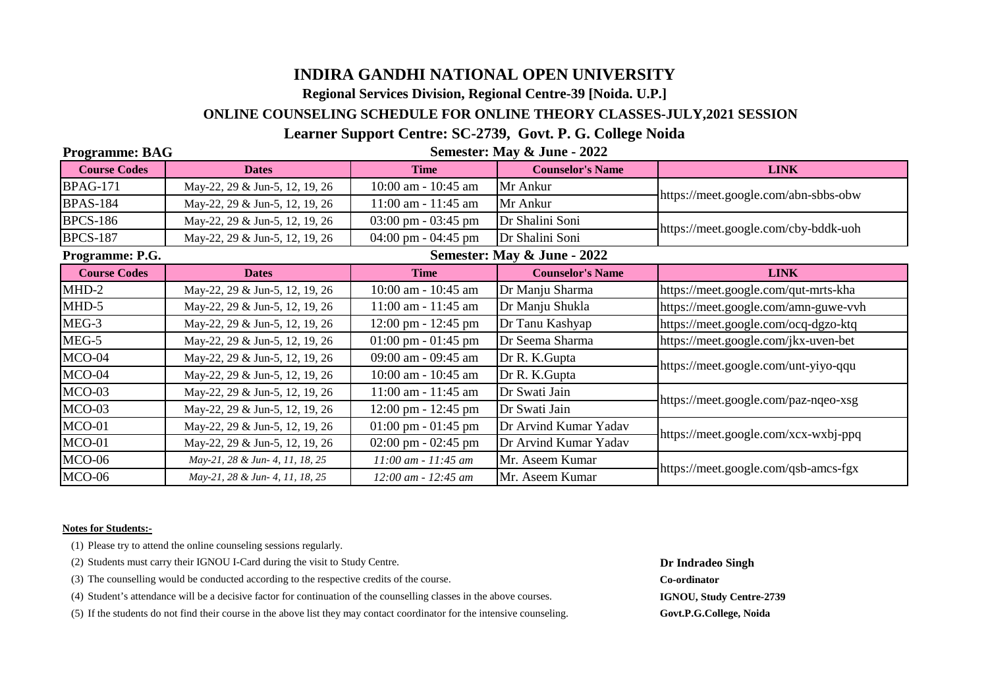# **INDIRA GANDHI NATIONAL OPEN UNIVERSITY**

**Regional Services Division, Regional Centre-39 [Noida. U.P.]**

# **ONLINE COUNSELING SCHEDULE FOR ONLINE THEORY CLASSES-JULY,2021 SESSION**

# **Learner Support Centre: SC-2739, Govt. P. G. College Noida**

### **Programme: BAG**

 **Semester: May & June - 2022**

| <b>Course Codes</b> | <b>Dates</b>                    | <b>Time</b>                           | <b>Counselor's Name</b> | <b>LINK</b>                          |  |  |
|---------------------|---------------------------------|---------------------------------------|-------------------------|--------------------------------------|--|--|
| <b>BPAG-171</b>     | May-22, 29 & Jun-5, 12, 19, 26  | 10:00 am - 10:45 am                   | Mr Ankur                | https://meet.google.com/abn-sbbs-obw |  |  |
| <b>BPAS-184</b>     | May-22, 29 & Jun-5, 12, 19, 26  | $11:00$ am - $11:45$ am               | Mr Ankur                |                                      |  |  |
| <b>BPCS-186</b>     | May-22, 29 & Jun-5, 12, 19, 26  | $03:00 \text{ pm} - 03:45 \text{ pm}$ | Dr Shalini Soni         | https://meet.google.com/cby-bddk-uoh |  |  |
| <b>BPCS-187</b>     | May-22, 29 & Jun-5, 12, 19, 26  | 04:00 pm - 04:45 pm                   | Dr Shalini Soni         |                                      |  |  |
| Programme: P.G.     | Semester: May & June - 2022     |                                       |                         |                                      |  |  |
| <b>Course Codes</b> | <b>Dates</b>                    | <b>Time</b>                           | <b>Counselor's Name</b> | <b>LINK</b>                          |  |  |
| MHD-2               | May-22, 29 & Jun-5, 12, 19, 26  | 10:00 am - 10:45 am                   | Dr Manju Sharma         | https://meet.google.com/qut-mrts-kha |  |  |
| MHD-5               | May-22, 29 & Jun-5, 12, 19, 26  | 11:00 am - 11:45 am                   | Dr Manju Shukla         | https://meet.google.com/amn-guwe-vvh |  |  |
| MEG-3               | May-22, 29 & Jun-5, 12, 19, 26  | $12:00 \text{ pm} - 12:45 \text{ pm}$ | Dr Tanu Kashyap         | https://meet.google.com/ocq-dgzo-ktq |  |  |
| MEG-5               | May-22, 29 & Jun-5, 12, 19, 26  | $01:00 \text{ pm} - 01:45 \text{ pm}$ | Dr Seema Sharma         | https://meet.google.com/jkx-uven-bet |  |  |
| MCO-04              | May-22, 29 & Jun-5, 12, 19, 26  | 09:00 am - 09:45 am                   | Dr R. K. Gupta          | https://meet.google.com/unt-yiyo-qqu |  |  |
| MCO-04              | May-22, 29 & Jun-5, 12, 19, 26  | 10:00 am - 10:45 am                   | Dr R. K. Gupta          |                                      |  |  |
| MCO-03              | May-22, 29 & Jun-5, 12, 19, 26  | 11:00 am - 11:45 am                   | Dr Swati Jain           | https://meet.google.com/paz-nqeo-xsg |  |  |
| MCO-03              | May-22, 29 & Jun-5, 12, 19, 26  | $12:00 \text{ pm} - 12:45 \text{ pm}$ | Dr Swati Jain           |                                      |  |  |
| $MCO-01$            | May-22, 29 & Jun-5, 12, 19, 26  | $01:00 \text{ pm} - 01:45 \text{ pm}$ | Dr Arvind Kumar Yadav   | https://meet.google.com/xcx-wxbj-ppq |  |  |
| $MCO-01$            | May-22, 29 & Jun-5, 12, 19, 26  | $02:00 \text{ pm} - 02:45 \text{ pm}$ | Dr Arvind Kumar Yadav   |                                      |  |  |
| MCO-06              | May-21, 28 & Jun- 4, 11, 18, 25 | $11:00$ am - $11:45$ am               | Mr. Aseem Kumar         | https://meet.google.com/qsb-amcs-fgx |  |  |
| MCO-06              | May-21, 28 & Jun- 4, 11, 18, 25 | 12:00 am - 12:45 am                   | Mr. Aseem Kumar         |                                      |  |  |

#### **Notes for Students:-**

(1) Please try to attend the online counseling sessions regularly.

- (2) Students must carry their IGNOU I-Card during the visit to Study Centre. **Dr Indradeo Singh**
- (3) The counselling would be conducted according to the respective credits of the course. **Co-ordinator**

(4) Student's attendance will be a decisive factor for continuation of the counselling classes in the above courses. **IGNOU, Study Centre-2739**

(5) If the students do not find their course in the above list they may contact coordinator for the intensive counseling. **Govt.P.G.College, Noida**